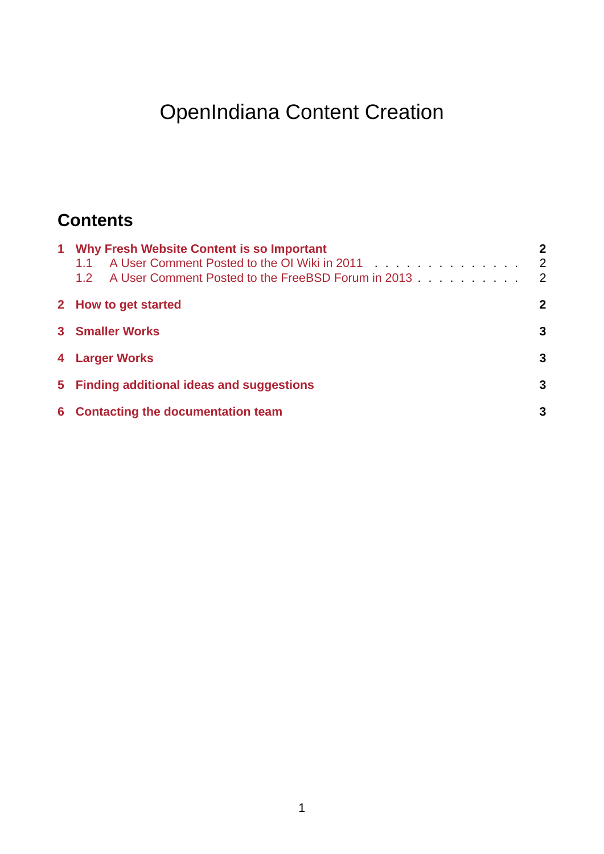# OpenIndiana Content Creation

# **Contents**

| 1 Why Fresh Website Content is so Important<br>A User Comment Posted to the OI Wiki in 2011 Allen Lines and Allen Lines and Allen Lines and Allen Lines and A<br>1.1<br>A User Comment Posted to the FreeBSD Forum in 2013<br>1.2 <sup>1</sup> | $\overline{2}$<br>2<br>$\overline{\phantom{0}}^2$ |
|------------------------------------------------------------------------------------------------------------------------------------------------------------------------------------------------------------------------------------------------|---------------------------------------------------|
| 2 How to get started                                                                                                                                                                                                                           | 2                                                 |
| <b>3</b> Smaller Works                                                                                                                                                                                                                         | 3                                                 |
| 4 Larger Works                                                                                                                                                                                                                                 | 3                                                 |
| 5 Finding additional ideas and suggestions                                                                                                                                                                                                     | 3                                                 |
| 6 Contacting the documentation team                                                                                                                                                                                                            | 3                                                 |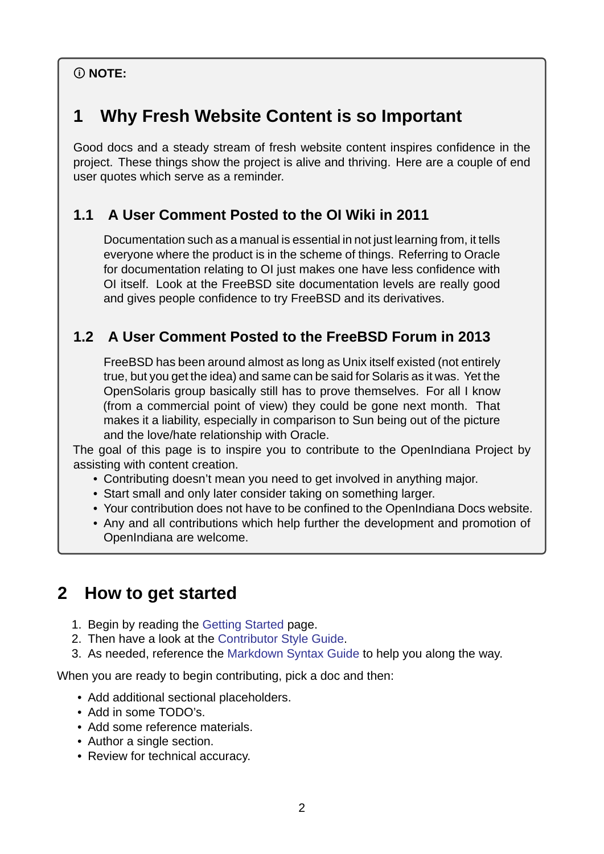#### **NOTE:**

# **1 Why Fresh Website Content is so Important**

<span id="page-1-0"></span>Good docs and a steady stream of fresh website content inspires confidence in the project. These things show the project is alive and thriving. Here are a couple of end user quotes which serve as a reminder.

#### **1.1 A User Comment Posted to the OI Wiki in 2011**

<span id="page-1-1"></span>Documentation such as a manual is essential in not just learning from, it tells everyone where the product is in the scheme of things. Referring to Oracle for documentation relating to OI just makes one have less confidence with OI itself. Look at the FreeBSD site documentation levels are really good and gives people confidence to try FreeBSD and its derivatives.

#### **1.2 A User Comment Posted to the FreeBSD Forum in 2013**

<span id="page-1-2"></span>FreeBSD has been around almost as long as Unix itself existed (not entirely true, but you get the idea) and same can be said for Solaris as it was. Yet the OpenSolaris group basically still has to prove themselves. For all I know (from a commercial point of view) they could be gone next month. That makes it a liability, especially in comparison to Sun being out of the picture and the love/hate relationship with Oracle.

The goal of this page is to inspire you to contribute to the OpenIndiana Project by assisting with content creation.

- Contributing doesn't mean you need to get involved in anything major.
- Start small and only later consider taking on something larger.
- Your contribution does not have to be confined to the OpenIndiana Docs website.
- Any and all contributions which help further the development and promotion of OpenIndiana are welcome.

## **2 How to get started**

- <span id="page-1-3"></span>1. Begin by reading the Getting Started page.
- 2. Then have a look at the Contributor Style Guide.
- 3. As needed, reference the Markdown Syntax Guide to help you along the way.

When you are ready to be[gin contributing,](./getting-started.md) pick a doc and then:

- Add additional sectional [pl](./style.md)[aceholders.](./markdown.md)
- Add in some TODO's.
- Add some reference materials.
- Author a single section.
- Review for technical accuracy.